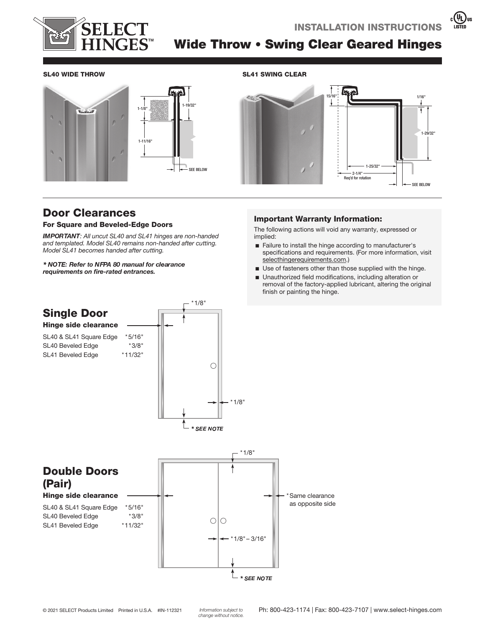

 $\left(\begin{matrix}\overline{0}\\1\end{matrix}\right)$ us



# Wide Throw • Swing Clear Geared Hinges

#### SL40 WIDE THROW SL41 SWING CLEAR





# Door Clearances

#### For Square and Beveled-Edge Doors

**IMPORTANT:** All uncut SL40 and SL41 hinges are non-handed and templated. Model SL40 remains non-handed after cutting. Model SL41 becomes handed after cutting.

 *requirements on fire-rated entrances.* 

#### Important Warranty Information:

The following actions will void any warranty, expressed or implied:

- E Failure to install the hinge according to manufacturer's specifications and requirements. (For more information, visit selecthingerequirements.com.)
- $\blacksquare$  Use of fasteners other than those supplied with the hinge.
- Unauthorized field modifications, including alteration or removal of the factory-applied lubricant, altering the original finish or painting the hinge.